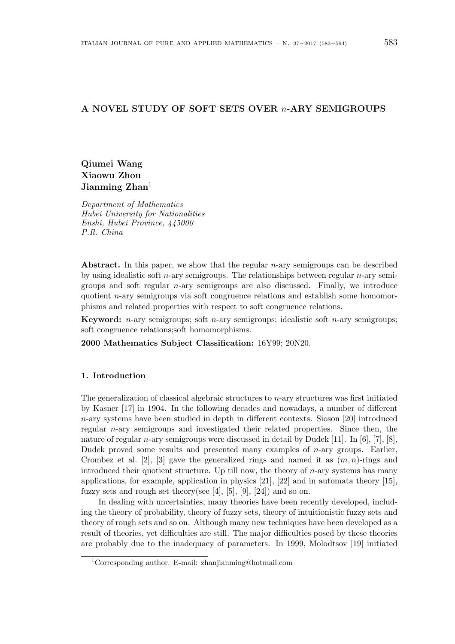# **A NOVEL STUDY OF SOFT SETS OVER** *n***-ARY SEMIGROUPS**

**Qiumei Wang Xiaowu Zhou Jianming Zhan**<sup>1</sup>

*Department of Mathematics Hubei University for Nationalities Enshi, Hubei Province, 445000 P.R. China*

**Abstract.** In this paper, we show that the regular *n*-ary semigroups can be described by using idealistic soft *n*-ary semigroups. The relationships between regular *n*-ary semigroups and soft regular *n*-ary semigroups are also discussed. Finally, we introduce quotient *n*-ary semigroups via soft congruence relations and establish some homomorphisms and related properties with respect to soft congruence relations.

**Keyword:** *n*-ary semigroups; soft *n*-ary semigroups; idealistic soft *n*-ary semigroups; soft congruence relations;soft homomorphisms.

**2000 Mathematics Subject Classification:** 16Y99; 20N20.

## **1. Introduction**

The generalization of classical algebraic structures to *n*-ary structures was first initiated by Kasner [17] in 1904. In the following decades and nowadays, a number of different *n*-ary systems have been studied in depth in different contexts. Sioson [20] introduced regular *n*-ary semigroups and investigated their related properties. Since then, the nature of regular *n*-ary semigroups were discussed in detail by Dudek [11]. In [6], [7], [8], Dudek proved some results and presented many examples of *n*-ary groups. Earlier, Crombez et al. [2], [3] gave the generalized rings and named it as (*m, n*)-rings and introduced their quotient structure. Up till now, the theory of *n*-ary systems has many applications, for example, application in physics [21], [22] and in automata theory [15], fuzzy sets and rough set theory(see [4], [5], [9], [24]) and so on.

In dealing with uncertainties, many theories have been recently developed, including the theory of probability, theory of fuzzy sets, theory of intuitionistic fuzzy sets and theory of rough sets and so on. Although many new techniques have been developed as a result of theories, yet difficulties are still. The major difficulties posed by these theories are probably due to the inadequacy of parameters. In 1999, Molodtsov [19] initiated

<sup>&</sup>lt;sup>1</sup>Corresponding author. E-mail: zhanjianming@hotmail.com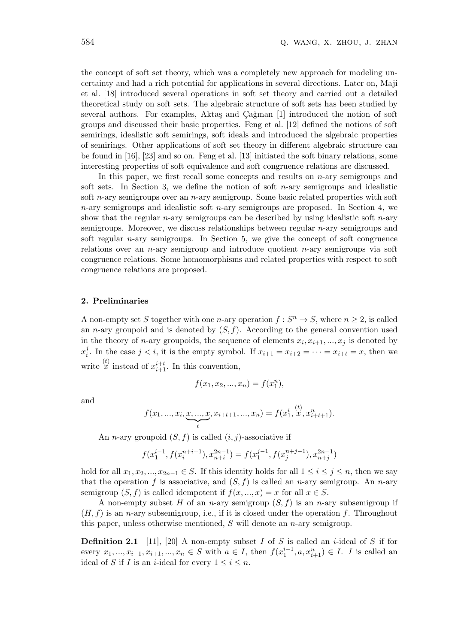the concept of soft set theory, which was a completely new approach for modeling uncertainty and had a rich potential for applications in several directions. Later on, Maji et al. [18] introduced several operations in soft set theory and carried out a detailed theoretical study on soft sets. The algebraic structure of soft sets has been studied by several authors. For examples, Aktaş and Çağman [1] introduced the notion of soft groups and discussed their basic properties. Feng et al. [12] defined the notions of soft semirings, idealistic soft semirings, soft ideals and introduced the algebraic properties of semirings. Other applications of soft set theory in different algebraic structure can be found in [16], [23] and so on. Feng et al. [13] initiated the soft binary relations, some interesting properties of soft equivalence and soft congruence relations are discussed.

In this paper, we first recall some concepts and results on *n*-ary semigroups and soft sets. In Section 3, we define the notion of soft *n*-ary semigroups and idealistic soft *n*-ary semigroups over an *n*-ary semigroup. Some basic related properties with soft *n*-ary semigroups and idealistic soft *n*-ary semigroups are proposed. In Section 4, we show that the regular *n*-ary semigroups can be described by using idealistic soft *n*-ary semigroups. Moreover, we discuss relationships between regular *n*-ary semigroups and soft regular *n*-ary semigroups. In Section 5, we give the concept of soft congruence relations over an *n*-ary semigroup and introduce quotient *n*-ary semigroups via soft congruence relations. Some homomorphisms and related properties with respect to soft congruence relations are proposed.

## **2. Preliminaries**

A non-empty set *S* together with one *n*-ary operation  $f: S^n \to S$ , where  $n \geq 2$ , is called an *n*-ary groupoid and is denoted by  $(S, f)$ . According to the general convention used in the theory of *n*-ary groupoids, the sequence of elements  $x_i, x_{i+1}, ..., x_j$  is denoted by  $x_i^j$  $j<sub>i</sub>$ . In the case  $j < i$ , it is the empty symbol. If  $x_{i+1} = x_{i+2} = \cdots = x_{i+t} = x$ , then we write  $\overset{(t)}{x}$  instead of  $x_{i+1}^{i+t}$ . In this convention,

$$
f(x_1, x_2, ..., x_n) = f(x_1^n),
$$

and

$$
f(x_1, ..., x_i, \underbrace{x, ..., x}_{t}, x_{i+t+1}, ..., x_n) = f(x_1^{i}, \stackrel{(t)}{x}, x_{i+t+1}^{n}).
$$

An *n*-ary groupoid  $(S, f)$  is called  $(i, j)$ -associative if

$$
f(x_1^{i-1}, f(x_i^{n+i-1}), x_{n+i}^{2n-1}) = f(x_1^{j-1}, f(x_j^{n+j-1}), x_{n+j}^{2n-1})
$$

hold for all  $x_1, x_2, ..., x_{2n-1}$  ∈ *S*. If this identity holds for all  $1 ≤ i ≤ j ≤ n$ , then we say that the operation  $f$  is associative, and  $(S, f)$  is called an *n*-ary semigroup. An *n*-ary semigroup  $(S, f)$  is called idempotent if  $f(x, \ldots, x) = x$  for all  $x \in S$ .

A non-empty subset *H* of an *n*-ary semigroup (*S, f*) is an *n*-ary subsemigroup if  $(H, f)$  is an *n*-ary subsemigroup, i.e., if it is closed under the operation f. Throughout this paper, unless otherwise mentioned, *S* will denote an *n*-ary semigroup.

**Definition 2.1** [11], [20] A non-empty subset *I* of *S* is called an *i*-ideal of *S* if for every  $x_1, ..., x_{i-1}, x_{i+1}, ..., x_n \in S$  with  $a \in I$ , then  $f(x_1^{i-1}, a, x_{i+1}^n) \in I$ . I is called an ideal of *S* if *I* is an *i*-ideal for every  $1 \leq i \leq n$ .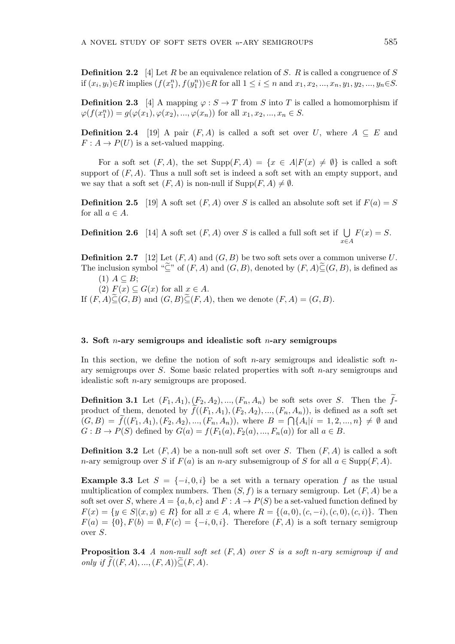**Definition 2.2** [4] Let *R* be an equivalence relation of *S*. *R* is called a congruence of *S* if  $(x_i, y_i) \in R$  implies  $(f(x_1^n), f(y_1^n)) \in R$  for all  $1 \le i \le n$  and  $x_1, x_2, ..., x_n, y_1, y_2, ..., y_n \in S$ .

**Definition 2.3** [4] A mapping  $\varphi$  :  $S \to T$  from *S* into *T* is called a homomorphism if  $\varphi(f(x_1^n)) = g(\varphi(x_1), \varphi(x_2), ..., \varphi(x_n))$  for all  $x_1, x_2, ..., x_n \in S$ .

**Definition 2.4** [19] A pair  $(F, A)$  is called a soft set over *U*, where  $A \subseteq E$  and  $F: A \to P(U)$  is a set-valued mapping.

For a soft set  $(F, A)$ , the set  $\text{Supp}(F, A) = \{x \in A | F(x) \neq \emptyset\}$  is called a soft support of  $(F, A)$ . Thus a null soft set is indeed a soft set with an empty support, and we say that a soft set  $(F, A)$  is non-null if  $\text{Supp}(F, A) \neq \emptyset$ .

**Definition 2.5** [19] A soft set  $(F, A)$  over *S* is called an absolute soft set if  $F(a) = S$ for all  $a \in A$ .

**Definition 2.6** [14] A soft set  $(F, A)$  over *S* is called a full soft set if ∪ *x∈A*  $F(x) = S.$ 

**Definition 2.7** [12] Let (*F, A*) and (*G, B*) be two soft sets over a common universe *U*. The inclusion symbol " $\tilde{\subset}$ " of  $(F, A)$  and  $(G, B)$ , denoted by  $(F, A) \tilde{\subset} (G, B)$ , is defined as  $(1)$   $A \subseteq B$ ;

 $(2)$   $F(x) \subset G(x)$  for all  $x \in A$ .

If  $(F, A) \widetilde{\subseteq} (G, B)$  and  $(G, B) \widetilde{\subseteq} (F, A)$ , then we denote  $(F, A) = (G, B)$ .

### **3. Soft** *n***-ary semigroups and idealistic soft** *n***-ary semigroups**

In this section, we define the notion of soft *n*-ary semigroups and idealistic soft *n*ary semigroups over *S*. Some basic related properties with soft *n*-ary semigroups and idealistic soft *n*-ary semigroups are proposed.

**Definition 3.1** Let  $(F_1, A_1)$ ,  $(F_2, A_2)$ , ...,  $(F_n, A_n)$  be soft sets over *S*. Then the  $\tilde{f}$ product of them, denoted by  $f((F_1, A_1), (F_2, A_2), ..., (F_n, A_n))$ , is defined as a soft set  $(G, B) = \tilde{f}((F_1, A_1), (F_2, A_2), ..., (F_n, A_n)),$  where  $B = \bigcap \{A_i | i = 1, 2, ..., n\} \neq \emptyset$  and  $G : B \to P(S)$  defined by  $G(a) = f(F_1(a), F_2(a), ..., F_n(a))$  for all  $a \in B$ .

**Definition 3.2** Let  $(F, A)$  be a non-null soft set over *S*. Then  $(F, A)$  is called a soft *n*-ary semigroup over *S* if  $F(a)$  is an *n*-ary subsemigroup of *S* for all  $a \in \text{Supp}(F, A)$ .

**Example 3.3** Let  $S = \{-i, 0, i\}$  be a set with a ternary operation f as the usual multiplication of complex numbers. Then  $(S, f)$  is a ternary semigroup. Let  $(F, A)$  be a soft set over *S*, where  $A = \{a, b, c\}$  and  $F : A \rightarrow P(S)$  be a set-valued function defined by  $F(x) = \{y \in S | (x, y) \in R\}$  for all  $x \in A$ , where  $R = \{(a, 0), (c, -i), (c, 0), (c, i)\}.$  Then  $F(a) = \{0\}, F(b) = \emptyset, F(c) = \{-i, 0, i\}.$  Therefore  $(F, A)$  is a soft ternary semigroup over *S*.

**Proposition 3.4** *A non-null soft set* (*F, A*) *over S is a soft n-ary semigroup if and*  $\text{only if } f((F, A), ..., (F, A)) \widetilde{\subseteq} (F, A).$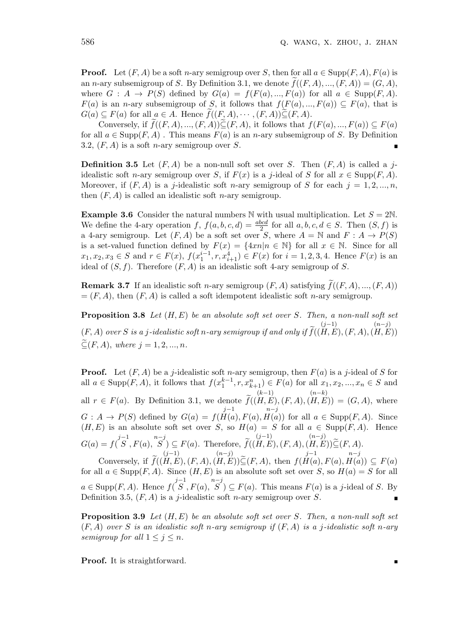Б

**Proof.** Let  $(F, A)$  be a soft *n*-ary semigroup over *S*, then for all  $a \in \text{Supp}(F, A)$ ,  $F(a)$  is an *n*-ary subsemigroup of *S*. By Definition 3.1, we denote  $f((F, A), ..., (F, A)) = (G, A)$ . where  $G : A \rightarrow P(S)$  defined by  $G(a) = f(F(a), ..., F(a))$  for all  $a \in \text{Supp}(F, A)$ . *F*(*a*) is an *n*-ary subsemigroup of *S*, it follows that  $f(F(a),...,F(a)) \subseteq F(a)$ , that is  $G(a) \subseteq F(a)$  for all  $a \in A$ . Hence  $\tilde{f}((F, A), \dots, (F, A)) \tilde{\subseteq} (F, A)$ .

Conversely, if  $\widetilde{f}((F, A), ..., (F, A))\widetilde{\subseteq}(F, A)$ , it follows that  $f(F(a), ..., F(a)) \subseteq F(a)$ for all  $a \in \text{Supp}(F, A)$ . This means  $F(a)$  is an *n*-ary subsemigroup of *S*. By Definition 3.2, (*F, A*) is a soft *n*-ary semigroup over *S*.

**Definition 3.5** Let  $(F, A)$  be a non-null soft set over *S*. Then  $(F, A)$  is called a *j*idealistic soft *n*-ary semigroup over *S*, if  $F(x)$  is a *j*-ideal of *S* for all  $x \in \text{Supp}(F, A)$ . Moreover, if  $(F, A)$  is a *j*-idealistic soft *n*-ary semigroup of *S* for each  $j = 1, 2, ..., n$ , then  $(F, A)$  is called an idealistic soft *n*-ary semigroup.

**Example 3.6** Consider the natural numbers N with usual multiplication. Let  $S = 2N$ . We define the 4-ary operation  $f$ ,  $f(a, b, c, d) = \frac{abcd}{2}$  for all  $a, b, c, d \in S$ . Then  $(S, f)$  is a 4-ary semigroup. Let  $(F, A)$  be a soft set over *S*, where  $A = \mathbb{N}$  and  $F : A \to P(S)$ is a set-valued function defined by  $F(x) = \{4xn|n \in \mathbb{N}\}\)$  for all  $x \in \mathbb{N}$ . Since for all  $x_1, x_2, x_3 \in S$  and  $r \in F(x)$ ,  $f(x_1^{i-1}, r, x_{i+1}^4) \in F(x)$  for  $i = 1, 2, 3, 4$ . Hence  $F(x)$  is an ideal of  $(S, f)$ . Therefore  $(F, A)$  is an idealistic soft 4-ary semigroup of *S*.

**Remark 3.7** If an idealistic soft *n*-ary semigroup  $(F, A)$  satisfying  $f((F, A), ..., (F, A))$  $=(F, A)$ , then  $(F, A)$  is called a soft idempotent idealistic soft *n*-ary semigroup.

**Proposition 3.8** *Let* (*H, E*) *be an absolute soft set over S. Then, a non-null soft set*  $(F, A)$  *over*  $S$  *is a j*-idealistic soft *n*-ary semigroup if and only if  $f(x)$ (*j−*1) (*H, E*)*,*(*F, A*)*,* (*n−j*) (*H, E*))  $\mathcal{L}(F, A)$ *, where*  $j = 1, 2, ..., n$ *.* 

**Proof.** Let  $(F, A)$  be a *j*-idealistic soft *n*-ary semigroup, then  $F(a)$  is a *j*-ideal of *S* for all  $a \in \text{Supp}(F, A)$ , it follows that  $f(x_1^{k-1}, r, x_{k+1}^n) \in F(a)$  for all  $x_1, x_2, ..., x_n \in S$  and all  $r \in F(a)$ . By Definition 3.1, we denote  $f(a)$ (*k−*1) (*H, E*)*,*(*F, A*)*,* (*n−k*)  $(H, E) = (G, A),$  where  $G: A \rightarrow P(S)$  defined by  $G(a) = f(H(a), F(a),$ *j−*1 *n−j H*(*a*)) for all  $a \in \text{Supp}(F, A)$ . Since  $(H, E)$  is an absolute soft set over *S*, so  $H(a) = S$  for all  $a \in \text{Supp}(F, A)$ . Hence  $G(a) = f(\overbrace{S}^{j-1}, F(a), \overbrace{S}^{n-j}) \subseteq F(a)$ . Therefore,  $\widetilde{f}$ ( (*j−*1) (*H, E*)*,*(*F, A*)*,* (*n−j*)  $(H, E)) \subseteq (F, A).$ (*j−*1) (*n−j*) *j−*1 *n−j*

Conversely, if  $f$ ( (*H, E*)*,*(*F, A*)*,*  $(H, E)$ ) $\subseteq$  $(F, A)$ , then  $f($ *H*(*a*)*, F*(*a*)*, H*(*a*))  $\subseteq$  *F*(*a*) for all  $a \in \text{Supp}(F, A)$ . Since  $(H, E)$  is an absolute soft set over *S*, so  $H(a) = S$  for all  $a \in \text{Supp}(F, A)$ . Hence  $f(\overline{S}^1, F(a), \overline{S}^1) \subseteq F(a)$ . This means  $F(a)$  is a j-ideal of S. By Definition 3.5, (*F, A*) is a *j*-idealistic soft *n*-ary semigroup over *S*. Ē

**Proposition 3.9** *Let* (*H, E*) *be an absolute soft set over S. Then, a non-null soft set* (*F, A*) *over S is an idealistic soft n-ary semigroup if* (*F, A*) *is a j-idealistic soft n-ary semigroup for all*  $1 \leq j \leq n$ *.* 

**Proof.** It is straightforward.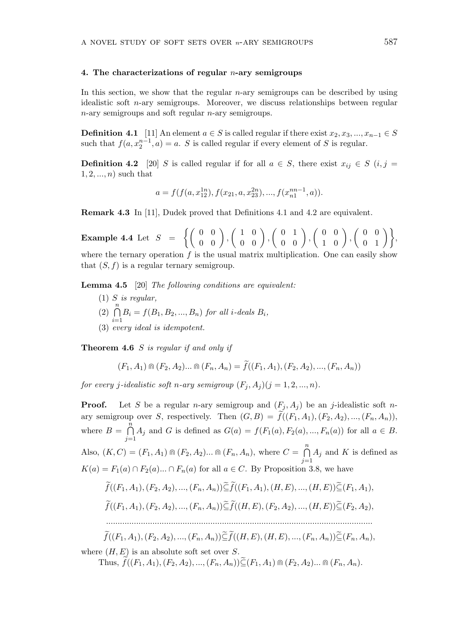## **4. The characterizations of regular** *n***-ary semigroups**

In this section, we show that the regular *n*-ary semigroups can be described by using idealistic soft *n*-ary semigroups. Moreover, we discuss relationships between regular *n*-ary semigroups and soft regular *n*-ary semigroups.

**Definition 4.1** [11] An element  $a \in S$  is called regular if there exist  $x_2, x_3, ..., x_{n-1} \in S$ such that  $f(a, x_2^{n-1}, a) = a$ . *S* is called regular if every element of *S* is regular.

**Definition 4.2** [20] *S* is called regular if for all  $a \in S$ , there exist  $x_{ij} \in S$  (*i, j* = 1*,* 2*, ..., n*) such that

$$
a = f(f(a, x_{12}^{1n}), f(x_{21}, a, x_{23}^{2n}), ..., f(x_{n1}^{nn-1}, a)).
$$

**Remark 4.3** In [11], Dudek proved that Definitions 4.1 and 4.2 are equivalent.

**Example 4.4** Let  $S = \left\{ \begin{pmatrix} 0 & 0 \\ 0 & 0 \end{pmatrix}, \right\}$  $\left(\begin{array}{cc} 1 & 0 \\ 0 & 0 \end{array}\right)$ ,  $\left(\begin{array}{cc} 0 & 1 \\ 0 & 0 \end{array}\right)$  $\left(\begin{array}{cc} 0 & 0 \\ 1 & 0 \end{array}\right)$ ,  $\left( \begin{array}{cc} 0 & 0 \\ 0 & 1 \end{array} \right)$ , where the ternary operation  $f$  is the usual matrix multiplication. One can easily show that  $(S, f)$  is a regular ternary semigroup.

**Lemma 4.5** [20] *The following conditions are equivalent:*

(1) *S is regular,*  $\left(2\right)$ <sup>n</sup> *i*=1  $B_i = f(B_1, B_2, ..., B_n)$  *for all i-deals*  $B_i$ *,* (3) *every ideal is idempotent.*

**Theorem 4.6** *S is regular if and only if*

$$
(F_1, A_1) \cap (F_2, A_2) \dots \cap (F_n, A_n) = f((F_1, A_1), (F_2, A_2), \dots, (F_n, A_n))
$$

*for every j*-idealistic soft *n*-ary semigroup  $(F_j, A_j)(j = 1, 2, ..., n)$ .

**Proof.** Let *S* be a regular *n*-ary semigroup and  $(F_i, A_j)$  be an *j*-idealistic soft *n*ary semigroup over *S*, respectively. Then  $(G, B) = \tilde{f}((F_1, A_1), (F_2, A_2), ..., (F_n, A_n))$ , where  $B = \bigcap^{n}$ *j*=1 *A*<sup>*j*</sup> and *G* is defined as  $G(a) = f(F_1(a), F_2(a), ..., F_n(a))$  for all  $a \in B$ . Also,  $(K, C) = (F_1, A_1) \oplus (F_2, A_2) \dots \oplus (F_n, A_n)$ , where  $C = \bigcap_{n=1}^{n}$ *j*=1 *A<sup>j</sup>* and *K* is defined as  $K(a) = F_1(a) \cap F_2(a)$ ...  $\cap F_n(a)$  for all  $a \in C$ . By Proposition 3.8, we have  $\widetilde{C}(F,A)(F,A) = (F,A) \widetilde{C} \widetilde{C}(F,A)(F,B) = (F,F) \widetilde{C}(F,A)$ 

$$
f((F_1, A_1), (F_2, A_2), ..., (F_n, A_n)) \subseteq f((F_1, A_1), (H, E), ..., (H, E)) \subseteq (F_1, A_1),
$$
  

$$
\widetilde{f}((F_1, A_1), (F_2, A_2), ..., (F_n, A_n)) \widetilde{\subseteq} \widetilde{f}((H, E), (F_2, A_2), ..., (H, E)) \widetilde{\subseteq} (F_2, A_2),
$$

*...................................................................................................................*

$$
f((F_1, A_1), (F_2, A_2), ..., (F_n, A_n)) \subseteq f((H, E), (H, E), ..., (F_n, A_n)) \subseteq (F_n, A_n),
$$

where (*H, E*) is an absolute soft set over *S*.

 $\widetilde{f}((F_1, A_1), (F_2, A_2), \ldots, (F_n, A_n)) \widetilde{\subset} (F_1, A_1) \oplus (F_2, A_2) \ldots \oplus (F_n, A_n).$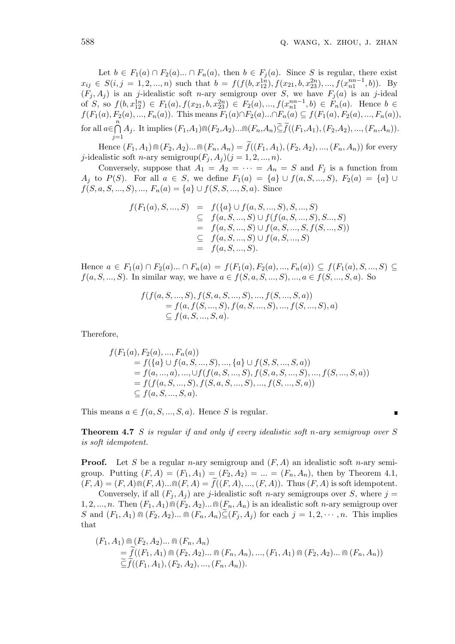Let  $b \in F_1(a) \cap F_2(a) \dots \cap F_n(a)$ , then  $b \in F_j(a)$ . Since *S* is regular, there exist  $x_{ij} \in S(i, j = 1, 2, ..., n)$  such that  $b = f(f(b, x_{12}^{1n}), f(x_{21}, b, x_{23}^{2n}), ..., f(x_{n1}^{nn-1}, b))$ . By  $(F_j, A_j)$  is an *j*-idealistic soft *n*-ary semigroup over *S*, we have  $F_j(a)$  is an *j*-ideal of S, so  $f(b, x_{12}^{1n}) \in F_1(a), f(x_{21}, b, x_{23}^{2n}) \in F_2(a), ..., f(x_{n1}^{nn-1}, b) \in F_n(a)$ . Hence  $b \in$  $f(F_1(a), F_2(a), ..., F_n(a))$ . This means  $F_1(a) \cap F_2(a) ... \cap F_n(a) \subseteq f(F_1(a), F_2(a), ..., F_n(a))$ , for all  $a \in \bigcap^n$  $\prod_{j=1} A_j$ . It implies  $(F_1, A_1) \cap (F_2, A_2) \dots \cap (F_n, A_n) \subseteq f((F_1, A_1), (F_2, A_2), \dots, (F_n, A_n)).$ 

Hence  $(F_1, A_1) \cap (F_2, A_2) \dots \cap (F_n, A_n) = \tilde{f}((F_1, A_1), (F_2, A_2), \dots, (F_n, A_n))$  for every *j*-idealistic soft *n*-ary semigroup $(F_i, A_j)(j = 1, 2, ..., n)$ .

Conversely, suppose that  $A_1 = A_2 = \cdots = A_n = S$  and  $F_j$  is a function from *A*<sup>j</sup> to *P*(*S*). For all  $a \in S$ , we define  $F_1(a) = \{a\} \cup f(a, S, ..., S), F_2(a) = \{a\} \cup$  $f(S, a, S, ..., S), ..., F_n(a) = \{a\} \cup f(S, S, ..., S, a)$ . Since

$$
f(F_1(a), S, ..., S) = f(\lbrace a \rbrace \cup f(a, S, ..., S), S, ..., S)
$$
  
\n
$$
\subseteq f(a, S, ..., S) \cup f(f(a, S, ..., S), S..., S)
$$
  
\n
$$
= f(a, S, ..., S) \cup f(a, S, ..., S, f(S, ..., S))
$$
  
\n
$$
\subseteq f(a, S, ..., S) \cup f(a, S, ..., S)
$$
  
\n
$$
= f(a, S, ..., S).
$$

Hence  $a \in F_1(a) \cap F_2(a) ... \cap F_n(a) = f(F_1(a), F_2(a), ..., F_n(a)) \subseteq f(F_1(a), S, ..., S) \subseteq$ *f*(*a, S, ..., S*). In similar way, we have  $a \in f(S, a, S, ..., S), ..., a \in f(S, ..., S, a)$ . So

$$
f(f(a, S, ..., S), f(S, a, S, ..., S), ..., f(S, ..., S, a))
$$
  
= f(a, f(S, ..., S), f(a, S, ..., S), ..., f(S, ..., S), a)  

$$
\subseteq f(a, S, ..., S, a).
$$

Therefore,

$$
f(F_1(a), F_2(a), ..., F_n(a))
$$
  
=  $f(\lbrace a \rbrace \cup f(a, S, ..., S), ..., \lbrace a \rbrace \cup f(S, S, ..., S, a))$   
=  $f(a, ..., a), ..., \cup f(f(a, S, ..., S), f(S, a, S, ..., S), ..., f(S, ..., S, a))$   
=  $f(f(a, S, ..., S), f(S, a, S, ..., S), ..., f(S, ..., S, a))$   
 $\subseteq f(a, S, ..., S, a).$ 

This means  $a \in f(a, S, \ldots, S, a)$ . Hence *S* is regular.

**Theorem 4.7** *S is regular if and only if every idealistic soft n-ary semigroup over S is soft idempotent.*

**Proof.** Let *S* be a regular *n*-ary semigroup and (*F, A*) an idealistic soft *n*-ary semigroup. Putting  $(F, A) = (F_1, A_1) = (F_2, A_2) = ... = (F_n, A_n)$ , then by Theorem 4.1,  $(F, A) = (F, A) \cap (F, A) \dots \cap (F, A) = f((F, A), \dots, (F, A))$ . Thus  $(F, A)$  is soft idempotent.

Conversely, if all  $(F_i, A_j)$  are *j*-idealistic soft *n*-ary semigroups over *S*, where  $j =$  $1, 2, ..., n$ . Then  $(F_1, A_1) \cap (F_2, A_2) \dots \cap (F_n, A_n)$  is an idealistic soft *n*-ary semigroup over S and  $(F_1, A_1) \oplus (F_2, A_2) \dots \oplus (F_n, A_n) \widetilde{\subseteq} (F_i, A_j)$  for each  $j = 1, 2, \dots, n$ . This implies that

$$
(F_1, A_1) \cap (F_2, A_2) \dots \cap (F_n, A_n)
$$
  
=  $\tilde{f}((F_1, A_1) \cap (F_2, A_2) \dots \cap (F_n, A_n), ..., (F_1, A_1) \cap (F_2, A_2) \dots \cap (F_n, A_n))$   
 $\tilde{\subseteq} \tilde{f}((F_1, A_1), (F_2, A_2), ..., (F_n, A_n)).$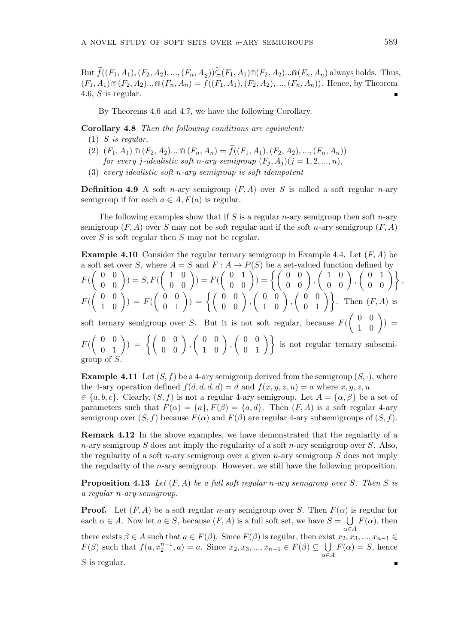But  $\tilde{f}((F_1, A_1), (F_2, A_2), ..., (F_n, A_n)) \tilde{\subseteq} (F_1, A_1) \cap (F_2, A_2) ... \cap (F_n, A_n)$  always holds. Thus,  $(F_1, A_1) \cap (F_2, A_2) \dots \cap (F_n, A_n) = \tilde{f}((F_1, A_1), (F_2, A_2), \dots, (F_n, A_n)).$  Hence, by Theorem 4.6, *S* is regular.

By Theorems 4.6 and 4.7, we have the following Corollary.

**Corollary 4.8** *Then the following conditions are equivalent:*

- (1) *S is regular,*
- $(F_1, A_1) \cap (F_2, A_2) \dots \cap (F_n, A_n) = \tilde{f}((F_1, A_1), (F_2, A_2), \dots, (F_n, A_n))$ *for every j*-*idealistic soft n*-*ary semigroup*  $(F_i, A_i)(j = 1, 2, ..., n)$ ,
- (3) *every idealistic soft n-ary semigroup is soft idempotent*

**Definition 4.9** A soft *n*-ary semigroup  $(F, A)$  over *S* is called a soft regular *n*-ary semigroup if for each  $a \in A$ ,  $F(a)$  is regular.

The following examples show that if *S* is a regular *n*-ary semigroup then soft *n*-ary semigroup  $(F, A)$  over *S* may not be soft regular and if the soft *n*-ary semigroup  $(F, A)$ over *S* is soft regular then *S* may not be regular.

**Example 4.10** Consider the regular ternary semigroup in Example 4.4. Let (*F, A*) be a soft set over *S*, where  $A = S$  and  $F : A \rightarrow P(S)$  be a set-valued function defined by *F*(  $\left( \begin{array}{cc} 0 & 0 \\ 0 & 0 \end{array} \right)) = S, F($  $\left( \begin{array}{cc} 1 & 0 \\ 0 & 0 \end{array} \right)) = F($  $\left(\begin{array}{cc} 0 & 1 \\ 0 & 0 \end{array}\right)) = \left\{ \left(\begin{array}{cc} 0 & 0 \\ 0 & 0 \end{array}\right), \right.$  $\left(\begin{array}{cc} 1 & 0 \\ 0 & 0 \end{array}\right)$ ,  $\left(\begin{array}{cc} 0 & 1 \\ 0 & 0 \end{array}\right)$ , *F*(  $\left( \begin{array}{cc} 0 & 0 \\ 1 & 0 \end{array} \right))\,=\,F($  $\left(\begin{array}{cc} 0 & 0 \\ 0 & 1 \end{array}\right)) = \left\{\left(\begin{array}{cc} 0 & 0 \\ 0 & 0 \end{array}\right), \right.$  $\left(\begin{array}{cc} 0 & 0 \\ 1 & 0 \end{array}\right)$ ,  $\left(\begin{array}{cc} 0 & 0 \\ 0 & 1 \end{array}\right)$ . Then  $(F, A)$  is soft ternary semigroup over *S*. But it is not soft regular, because *F*(  $\left( \begin{array}{cc} 0 & 0 \\ 1 & 0 \end{array} \right))\;=\;$ *F*(  $\left(\begin{array}{cc} 0 & 0 \\ 0 & 1 \end{array}\right))\;=\;\left\{\left(\begin{array}{cc} 0 & 0 \\ 0 & 0 \end{array}\right),\right.$  $\left(\begin{array}{cc} 0 & 0 \\ 1 & 0 \end{array}\right)$ ,  $\left(\begin{array}{cc} 0 & 0 \\ 0 & 1 \end{array}\right)$  is not regular ternary subsemigroup of *S*.

**Example 4.11** Let  $(S, f)$  be a 4-ary semigroup derived from the semigroup  $(S, \cdot)$ , where the 4-ary operation defined  $f(d, d, d, d) = d$  and  $f(x, y, z, u) = a$  where  $x, y, z, u$ 

 $\in \{a, b, c\}$ . Clearly,  $(S, f)$  is not a regular 4-ary semigroup. Let  $A = \{\alpha, \beta\}$  be a set of parameters such that  $F(\alpha) = \{a\}$ ,  $F(\beta) = \{a, d\}$ . Then  $(F, A)$  is a soft regular 4-ary semigroup over  $(S, f)$  because  $F(\alpha)$  and  $F(\beta)$  are regular 4-ary subsemigroups of  $(S, f)$ .

**Remark 4.12** In the above examples, we have demonstrated that the regularity of a *n*-ary semigroup *S* does not imply the regularity of a soft *n*-ary semigroup over *S*. Also, the regularity of a soft *n*-ary semigroup over a given *n*-ary semigroup *S* does not imply the regularity of the *n*-ary semigroup. However, we still have the following proposition.

**Proposition 4.13** *Let* (*F, A*) *be a full soft regular n-ary semigroup over S. Then S is a regular n-ary semigroup.*

**Proof.** Let  $(F, A)$  be a soft regular *n*-ary semigroup over *S*. Then  $F(\alpha)$  is regular for each  $\alpha \in A$ . Now let  $a \in S$ , because  $(F, A)$  is a full soft set, we have  $S = \bigcup F(\alpha)$ , then *α∈A* there exists  $\beta \in A$  such that  $a \in F(\beta)$ . Since  $F(\beta)$  is regular, then exist  $x_2, x_3, ..., x_{n-1} \in$ *F*(*β*) such that  $f(a, x_2^{n-1}, a) = a$ . Since  $x_2, x_3, ..., x_{n-1} \in F(\beta) \subseteq \cup$  $F(\alpha) = S$ , hence *α∈A S* is regular. $\blacksquare$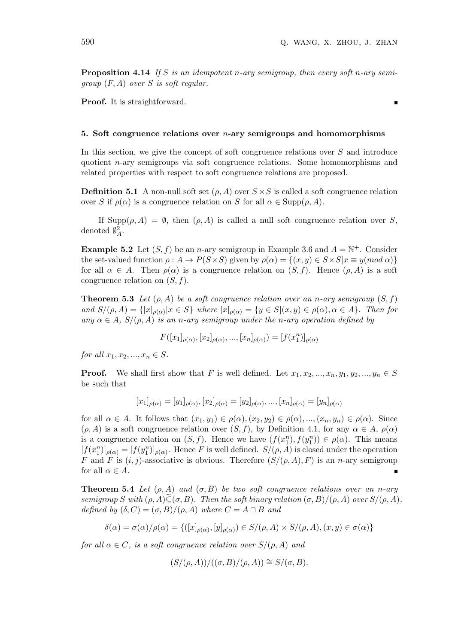**Proposition 4.14** *If S is an idempotent n-ary semigroup, then every soft n-ary semigroup* (*F, A*) *over S is soft regular.*

Proof. It is straightforward.

## **5. Soft congruence relations over** *n***-ary semigroups and homomorphisms**

In this section, we give the concept of soft congruence relations over *S* and introduce quotient *n*-ary semigroups via soft congruence relations. Some homomorphisms and related properties with respect to soft congruence relations are proposed.

**Definition 5.1** A non-null soft set  $(\rho, A)$  over  $S \times S$  is called a soft congruence relation over *S* if  $\rho(\alpha)$  is a congruence relation on *S* for all  $\alpha \in \text{Supp}(\rho, A)$ .

If Supp $(\rho, A) = \emptyset$ , then  $(\rho, A)$  is called a null soft congruence relation over *S*, denoted  $\emptyset_A^2$ .

**Example 5.2** Let  $(S, f)$  be an *n*-ary semigroup in Example 3.6 and  $A = \mathbb{N}^+$ . Consider the set-valued function  $\rho: A \to P(S \times S)$  given by  $\rho(\alpha) = \{(x, y) \in S \times S | x \equiv y (mod \alpha)\}\$ for all  $\alpha \in A$ . Then  $\rho(\alpha)$  is a congruence relation on  $(S, f)$ . Hence  $(\rho, A)$  is a soft congruence relation on (*S, f*).

**Theorem 5.3** *Let*  $(\rho, A)$  *be a soft congruence relation over an n-ary semigroup*  $(S, f)$ and  $S/(\rho, A) = \{ [x]_{\rho(\alpha)} | x \in S \}$  where  $[x]_{\rho(\alpha)} = \{ y \in S | (x, y) \in \rho(\alpha), \alpha \in A \}$ . Then for  $any \alpha \in A$ ,  $S/(\rho, A)$  *is an n-ary semigroup under the n-ary operation defined by* 

$$
F([x_1]_{\rho(\alpha)}, [x_2]_{\rho(\alpha)}, ..., [x_n]_{\rho(\alpha)}) = [f(x_1^n)]_{\rho(\alpha)}
$$

*for all*  $x_1, x_2, ..., x_n \in S$ *.* 

**Proof.** We shall first show that *F* is well defined. Let  $x_1, x_2, ..., x_n, y_1, y_2, ..., y_n \in S$ be such that

$$
[x_1]_{\rho(\alpha)} = [y_1]_{\rho(\alpha)}, [x_2]_{\rho(\alpha)} = [y_2]_{\rho(\alpha)}, ..., [x_n]_{\rho(\alpha)} = [y_n]_{\rho(\alpha)}
$$

for all  $\alpha \in A$ . It follows that  $(x_1, y_1) \in \rho(\alpha), (x_2, y_2) \in \rho(\alpha), ..., (x_n, y_n) \in \rho(\alpha)$ . Since  $(\rho, A)$  is a soft congruence relation over  $(S, f)$ , by Definition 4.1, for any  $\alpha \in A$ ,  $\rho(\alpha)$ is a congruence relation on  $(S, f)$ . Hence we have  $(f(x_1^n), f(y_1^n)) \in \rho(\alpha)$ . This means  $[f(x_1^n)]_{\rho(\alpha)} = [f(y_1^n)]_{\rho(\alpha)}$ . Hence *F* is well defined.  $S/(\rho, A)$  is closed under the operation *F* and *F* is  $(i, j)$ -associative is obvious. Therefore  $(S/(\rho, A), F)$  is an *n*-ary semigroup for all  $\alpha \in A$ .

**Theorem 5.4** *Let*  $(\rho, A)$  *and*  $(\sigma, B)$  *be two soft congruence relations over an n-ary semigroup S* with  $(\rho, A) \widetilde{\subseteq} (\sigma, B)$ *. Then the soft binary relation*  $(\sigma, B) / (\rho, A)$  *over*  $S / (\rho, A)$ *, defined by*  $(\delta, C) = (\sigma, B)/(\rho, A)$  *where*  $C = A \cap B$  *and* 

$$
\delta(\alpha) = \sigma(\alpha)/\rho(\alpha) = \{([x]_{\rho(\alpha)}, [y]_{\rho(\alpha)}) \in S/(\rho, A) \times S/(\rho, A), (x, y) \in \sigma(\alpha)\}\
$$

*for all*  $\alpha \in C$ *, is a soft congruence relation over*  $S/(\rho, A)$  *and* 

$$
(S/(\rho, A))/((\sigma, B)/(\rho, A)) \cong S/(\sigma, B).
$$

 $\blacksquare$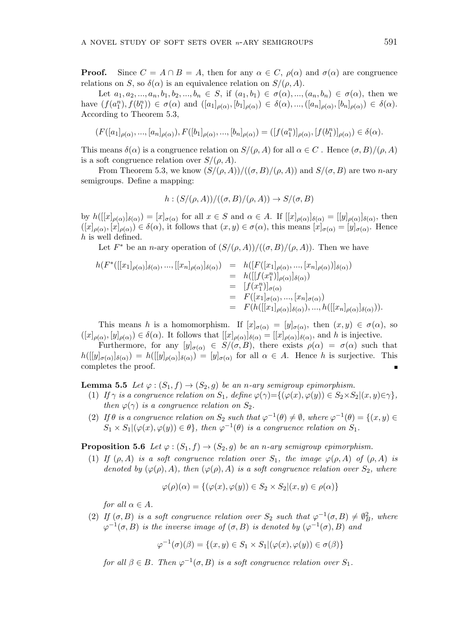**Proof.** Since  $C = A \cap B = A$ , then for any  $\alpha \in C$ ,  $\rho(\alpha)$  and  $\sigma(\alpha)$  are congruence relations on *S*, so  $\delta(\alpha)$  is an equivalence relation on  $S/(\rho, A)$ .

Let  $a_1, a_2, ..., a_n, b_1, b_2, ..., b_n \in S$ , if  $(a_1, b_1) \in \sigma(\alpha), ..., (a_n, b_n) \in \sigma(\alpha)$ , then we have  $(f(a_1^n), f(b_1^n)) \in \sigma(\alpha)$  and  $([a_1]_{\rho(\alpha)}, [b_1]_{\rho(\alpha)}) \in \delta(\alpha), ..., ([a_n]_{\rho(\alpha)}, [b_n]_{\rho(\alpha)}) \in \delta(\alpha)$ . According to Theorem 5.3,

$$
(F([a_1]_{\rho(\alpha)},..., [a_n]_{\rho(\alpha)}), F([b_1]_{\rho(\alpha)},..., [b_n]_{\rho(\alpha)}) = ([f(a_1^n)]_{\rho(\alpha)},[f(b_1^n)]_{\rho(\alpha)}) \in \delta(\alpha).
$$

This means  $\delta(\alpha)$  is a congruence relation on  $S/(\rho, A)$  for all  $\alpha \in C$ . Hence  $(\sigma, B)/(\rho, A)$ is a soft congruence relation over  $S/(\rho, A)$ .

From Theorem 5.3, we know  $(S/(\rho, A))/((\sigma, B)/(\rho, A))$  and  $S/(\sigma, B)$  are two *n*-ary semigroups. Define a mapping:

$$
h: (S/(\rho, A))/((\sigma, B)/(\rho, A)) \to S/(\sigma, B)
$$

by  $h([[x]_{\rho(\alpha)}]_{\delta(\alpha)}) = [x]_{\sigma(\alpha)}$  for all  $x \in S$  and  $\alpha \in A$ . If  $[[x]_{\rho(\alpha)}]_{\delta(\alpha)} = [[y]_{\rho(\alpha)}]_{\delta(\alpha)}$ , then  $([x]_{\rho(\alpha)}, [x]_{\rho(\alpha)}) \in \delta(\alpha)$ , it follows that  $(x, y) \in \sigma(\alpha)$ , this means  $[x]_{\sigma(\alpha)} = [y]_{\sigma(\alpha)}$ . Hence *h* is well defined.

Let  $F^*$  be an *n*-ary operation of  $(S/(\rho, A))/((\sigma, B)/(\rho, A))$ . Then we have

$$
h(F^*([[x_1]_{\rho(\alpha)}]_{\delta(\alpha)},...,[[x_n]_{\rho(\alpha)}]_{\delta(\alpha)}) = h([F([x_1]_{\rho(\alpha)},...,[x_n]_{\rho(\alpha)})]_{\delta(\alpha)})
$$
  
\n
$$
= h([[f(x_1^n)]_{\rho(\alpha)}]_{\delta(\alpha)})
$$
  
\n
$$
= [f(x_1^n)]_{\sigma(\alpha)}
$$
  
\n
$$
= F([x_1]_{\sigma(\alpha)},...,[x_n]_{\sigma(\alpha)})
$$
  
\n
$$
= F(h([[x_1]_{\rho(\alpha)}]_{\delta(\alpha)}),...,h([[x_n]_{\rho(\alpha)}]_{\delta(\alpha)})).
$$

This means *h* is a homomorphism. If  $[x]_{\sigma(\alpha)} = [y]_{\sigma(\alpha)}$ , then  $(x, y) \in \sigma(\alpha)$ , so  $([x]_{\rho(\alpha)}, [y]_{\rho(\alpha)}) \in \delta(\alpha)$ . It follows that  $[[x]_{\rho(\alpha)}]_{\delta(\alpha)} = [[x]_{\rho(\alpha)}]_{\delta(\alpha)}$ , and h is injective.

Furthermore, for any  $[y]_{\sigma(\alpha)} \in S/(\sigma, B)$ , there exists  $\rho(\alpha) = \sigma(\alpha)$  such that  $h([[y]_{\sigma(\alpha)}]_{\delta(\alpha)}) = h([[y]_{\rho(\alpha)}]_{\delta(\alpha)}) = [y]_{\sigma(\alpha)}$  for all  $\alpha \in A$ . Hence h is surjective. This completes the proof.

**Lemma 5.5** *Let*  $\varphi$  :  $(S_1, f) \to (S_2, g)$  *be an n-ary semigroup epimorphism.* 

- (1) If  $\gamma$  is a congruence relation on  $S_1$ , define  $\varphi(\gamma) = \{(\varphi(x), \varphi(y)) \in S_2 \times S_2 | (x, y) \in \gamma\},\$ *then*  $\varphi(\gamma)$  *is a congruence relation on*  $S_2$ *.*
- (2) If  $\theta$  is a congruence relation on  $S_2$  such that  $\varphi^{-1}(\theta) \neq \emptyset$ , where  $\varphi^{-1}(\theta) = \{(x, y) \in$  $S_1 \times S_1 | (\varphi(x), \varphi(y)) \in \theta$ , then  $\varphi^{-1}(\theta)$  *is a congruence relation on*  $S_1$ *.*

**Proposition 5.6** *Let*  $\varphi$  :  $(S_1, f) \to (S_2, g)$  *be an n-ary semigroup epimorphism.* 

(1) *If*  $(\rho, A)$  *is a soft congruence relation over*  $S_1$ *, the image*  $\varphi(\rho, A)$  *of*  $(\rho, A)$  *is denoted by*  $(\varphi(\rho), A)$ *, then*  $(\varphi(\rho), A)$  *is a soft congruence relation over*  $S_2$ *, where* 

$$
\varphi(\rho)(\alpha) = \{ (\varphi(x), \varphi(y)) \in S_2 \times S_2 | (x, y) \in \rho(\alpha) \}
$$

*for all*  $\alpha \in A$ *.* 

(2) *If*  $(\sigma, B)$  *is a soft congruence relation over*  $S_2$  *such that*  $\varphi^{-1}(\sigma, B) \neq \varnothing_B^2$ *, where*  $\varphi^{-1}(\sigma, B)$  *is the inverse image of* ( $\sigma, B$ ) *is denoted by* ( $\varphi^{-1}(\sigma), B$ ) *and* 

$$
\varphi^{-1}(\sigma)(\beta) = \{(x, y) \in S_1 \times S_1 | (\varphi(x), \varphi(y)) \in \sigma(\beta) \}
$$

*for all*  $\beta \in B$ *. Then*  $\varphi^{-1}(\sigma, B)$  *is a soft congruence relation over*  $S_1$ *.*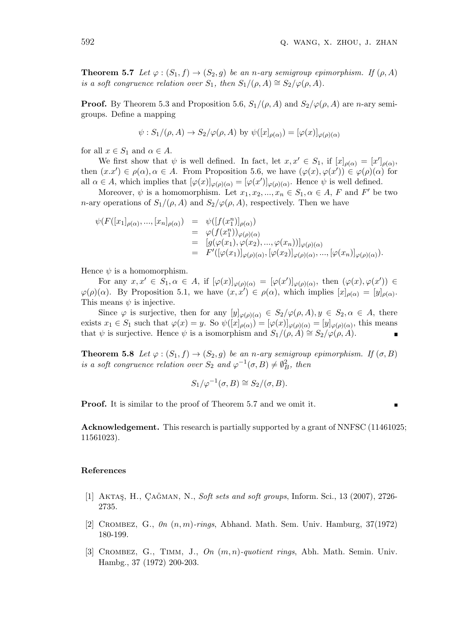**Theorem 5.7** *Let*  $\varphi$  :  $(S_1, f) \to (S_2, g)$  *be an n-ary semigroup epimorphism. If*  $(\rho, A)$ *is a soft congruence relation over*  $S_1$ , then  $S_1/(\rho, A) \cong S_2/\varphi(\rho, A)$ .

**Proof.** By Theorem 5.3 and Proposition 5.6,  $S_1/(\rho, A)$  and  $S_2/\varphi(\rho, A)$  are *n*-ary semigroups. Define a mapping

$$
\psi: S_1/(\rho, A) \to S_2/\varphi(\rho, A)
$$
 by  $\psi([x]_{\rho(\alpha)}) = [\varphi(x)]_{\varphi(\rho)(\alpha)}$ 

for all  $x \in S_1$  and  $\alpha \in A$ .

We first show that  $\psi$  is well defined. In fact, let  $x, x' \in S_1$ , if  $[x]_{\rho(\alpha)} = [x']_{\rho(\alpha)}$ , then  $(x.x') \in \rho(\alpha), \alpha \in A$ . From Proposition 5.6, we have  $(\varphi(x), \varphi(x')) \in \varphi(\rho)(\alpha)$  for all  $\alpha \in A$ , which implies that  $[\varphi(x)]_{\varphi(\rho)(\alpha)} = [\varphi(x')]_{\varphi(\rho)(\alpha)}$ . Hence  $\psi$  is well defined.

Moreover,  $\psi$  is a homomorphism. Let  $x_1, x_2, ..., x_n \in S_1, \alpha \in A, F$  and  $F'$  be two *n*-ary operations of  $S_1/(\rho, A)$  and  $S_2/\varphi(\rho, A)$ , respectively. Then we have

$$
\psi(F([x_1]_{\rho(\alpha)},...,[x_n]_{\rho(\alpha)}) = \psi([f(x_1^n)]_{\rho(\alpha)})
$$
  
\n
$$
= \varphi(f(x_1^n))_{\varphi(\rho)(\alpha)}
$$
  
\n
$$
= [g(\varphi(x_1), \varphi(x_2), ..., \varphi(x_n))]_{\varphi(\rho)(\alpha)}
$$
  
\n
$$
= F'([\varphi(x_1)]_{\varphi(\rho)(\alpha)}, [\varphi(x_2)]_{\varphi(\rho)(\alpha)}, ..., [\varphi(x_n)]_{\varphi(\rho)(\alpha)}).
$$

Hence  $\psi$  is a homomorphism.

For any  $x, x' \in S_1, \alpha \in A$ , if  $[\varphi(x)]_{\varphi(\rho)(\alpha)} = [\varphi(x')]_{\varphi(\rho)(\alpha)}$ , then  $(\varphi(x), \varphi(x')) \in$  $\varphi(\rho)(\alpha)$ . By Proposition 5.1, we have  $(x, x') \in \rho(\alpha)$ , which implies  $[x]_{\rho(\alpha)} = [y]_{\rho(\alpha)}$ . This means  $\psi$  is injective.

Since  $\varphi$  is surjective, then for any  $[y]_{\varphi(\rho)(\alpha)} \in S_2/\varphi(\rho, A), y \in S_2, \alpha \in A$ , there exists  $x_1 \in S_1$  such that  $\varphi(x) = y$ . So  $\psi([x]_{\rho(\alpha)}) = [\varphi(x)]_{\varphi(\rho)(\alpha)} = [y]_{\varphi(\rho)(\alpha)}$ , this means that  $\psi$  is surjective. Hence  $\psi$  is a isomorphism and  $S_1/(\rho, A) \cong S_2/\varphi(\rho, A)$ .

**Theorem 5.8** *Let*  $\varphi$  :  $(S_1, f) \to (S_2, g)$  *be an n-ary semigroup epimorphism. If*  $(\sigma, B)$ *is a soft congruence relation over*  $S_2$  *and*  $\varphi^{-1}(\sigma, B) \neq \emptyset_B^2$ *, then* 

$$
S_1/\varphi^{-1}(\sigma, B) \cong S_2/(\sigma, B).
$$

**Proof.** It is similar to the proof of Theorem 5.7 and we omit it.

 $\blacksquare$ 

**Acknowledgement.** This research is partially supported by a grant of NNFSC (11461025; 11561023).

#### **References**

- [1] AKTAŞ, H., ÇAĞMAN, N., *Soft sets and soft groups*, Inform. Sci., 13 (2007), 2726-2735.
- [2] Crombez, G., *0n* (*n, m*)*-rings*, Abhand. Math. Sem. Univ. Hamburg, 37(1972) 180-199.
- [3] Crombez, G., Timm, J., *On* (*m, n*)*-quotient rings*, Abh. Math. Semin. Univ. Hambg., 37 (1972) 200-203.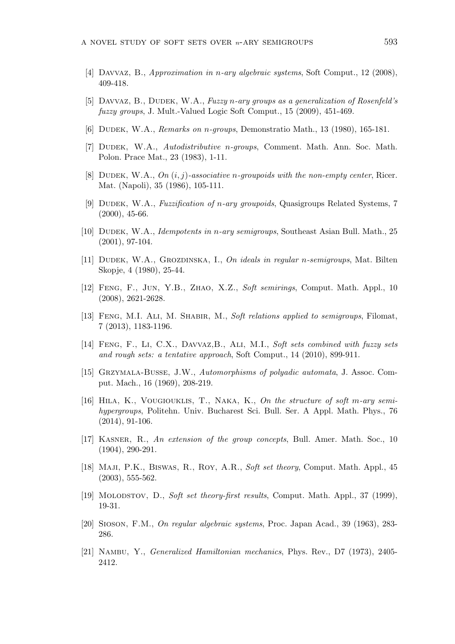- [4] Davvaz, B., *Approximation in n-ary algebraic systems*, Soft Comput., 12 (2008), 409-418.
- [5] Davvaz, B., Dudek, W.A., *Fuzzy n-ary groups as a generalization of Rosenfeld's fuzzy groups*, J. Mult.-Valued Logic Soft Comput., 15 (2009), 451-469.
- [6] Dudek, W.A., *Remarks on n-groups*, Demonstratio Math., 13 (1980), 165-181.
- [7] Dudek, W.A., *Autodistributive n-groups*, Comment. Math. Ann. Soc. Math. Polon. Prace Mat., 23 (1983), 1-11.
- [8] Dudek, W.A., *On* (*i, j*)*-associative n-groupoids with the non-empty center*, Ricer. Mat. (Napoli), 35 (1986), 105-111.
- [9] Dudek, W.A., *Fuzzification of n-ary groupoids*, Quasigroups Related Systems, 7 (2000), 45-66.
- [10] Dudek, W.A., *Idempotents in n-ary semigroups*, Southeast Asian Bull. Math., 25 (2001), 97-104.
- [11] Dudek, W.A., Grozdinska, I., *On ideals in regular n-semigroups*, Mat. Bilten Skopje, 4 (1980), 25-44.
- [12] Feng, F., Jun, Y.B., Zhao, X.Z., *Soft semirings*, Comput. Math. Appl., 10 (2008), 2621-2628.
- [13] Feng, M.I. Ali, M. Shabir, M., *Soft relations applied to semigroups*, Filomat, 7 (2013), 1183-1196.
- [14] Feng, F., Li, C.X., Davvaz,B., Ali, M.I., *Soft sets combined with fuzzy sets and rough sets: a tentative approach*, Soft Comput., 14 (2010), 899-911.
- [15] Grzymala-Busse, J.W., *Automorphisms of polyadic automata*, J. Assoc. Comput. Mach., 16 (1969), 208-219.
- [16] Hila, K., Vougiouklis, T., Naka, K., *On the structure of soft m-ary semihypergroups*, Politehn. Univ. Bucharest Sci. Bull. Ser. A Appl. Math. Phys., 76 (2014), 91-106.
- [17] Kasner, R., *An extension of the group concepts*, Bull. Amer. Math. Soc., 10 (1904), 290-291.
- [18] Maji, P.K., Biswas, R., Roy, A.R., *Soft set theory*, Comput. Math. Appl., 45 (2003), 555-562.
- [19] Molodstov, D., *Soft set theory-first results*, Comput. Math. Appl., 37 (1999), 19-31.
- [20] Sioson, F.M., *On regular algebraic systems*, Proc. Japan Acad., 39 (1963), 283- 286.
- [21] Nambu, Y., *Generalized Hamiltonian mechanics*, Phys. Rev., D7 (1973), 2405- 2412.